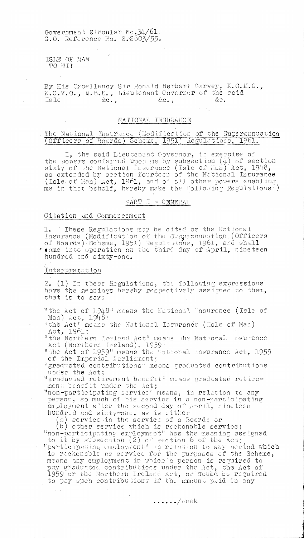Government Circular No.34/61. G.O. Reference No. 9.2803/55.

.ISLE OF MAN TO WIT

By His Excellency Sir Ronald Herbert Garvey, K.C.M.G. K.C.V.O., M.B.D., Lieutenant Governor of the said Isle  $\&c_{\bullet}$ ,  $\&c_{\bullet}$ ,  $\&c_{\bullet}$ ,  $\&c_{\bullet}$ 

#### NATIONAL INSURANCE

#### The National Insurance (Modification of the Superannuation (Officers of Boards) Scheme, 1951) Regulations, 1961.

I, the said Lieutenant Governor, in exercise of the powers conferred upon me by subsection  $(4)$  of section sixty of the National Insurance (Isle of Lan) Act, 1948, as extended by section fourteen of the Notional Insurance  $^{\circ}$  (Isle of Han) Act, 1961, and of all other powers enabling me in that behalf, hereby make the following Regulations:)

### PART I - GENERAL

#### Citation and Commencement

1. These Regulations may be cited as the Notional Insurance (Modification of the Superannuation (Officers of Boards) Scheme, 1951) Regulations, 1961, and shall **come** into operation on the thirC day of April, nineteen hundred and sixty-one.

#### Interbretotion

2. (1) In these Regulations, the following expressions hove the meanings hereby respectively assigned to them, that is to say:

"the Act of 1948" means the National. Insurance (Isle of Man)  $-ct$ ,  $1948$ :

the Act" means the National Tnsurance (Isle of Han) Act, 1961;

"the Northern Ireland Act" means the National Insurance Act (Northern Ireland), 1959

"the Act of 1959" means the Rational Insurance Act, 1959 of the Imperial Farliament;

"graduated contributions" means graduated contributions under the Act;

'graduated retirement benefit' means graduated retirement benefit under the Act;

"non-participating service" means, in relation to any person, so much of his service in a non-participating employment after the second day of April, nineteen hundred and sixty-one, as is either

a) service in the service of a Board; or  $\,$ 

b other service which is reckonable service; "non-participating employment" has the meaning assigned

to it by subsection  $(2)$  of section 6 of the Act; "participating employment" in relation to any period which is reckonable as service for the purposes of the Scheme, means any employment in which a person is required to pay graduated contributions under the Act, the Act of 1959 or the Northern Ireland Act, or would be required to pay such contributions if the amount paid in any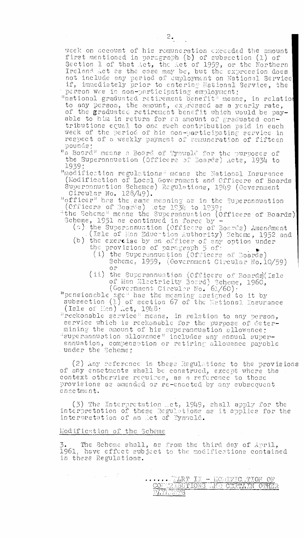week on account of his remuneration exceeded the amount first mentioned in paragraph (b) of subsection  $(1)$  of Section 1 of that 4ct, the Act of 1959, or the Northern Ireland .ct as the case may be, but the expression does not include any period of employment on National Service if, immediately prior to entering National Service, the person was in non-participating employment;

"national graduated retirement benefit" means, in relation to any person, the amount, expressed as a yearly rate, of the graduated retirement benefit which would be payable to him in return for an amount of graduated contributions equal to one such contribution paid in each week of the period of his non-participating service in respect of a weekly payment of remuneration of fifteen pounds:

"a Board" means a Board of Tynwald for the purposes of the Superannuation (Officers of Boards) Acts, 1934 to 19319:

"modifice.tion regulations' means the National Insurance (Nodification of Local Government and Officers of Boards Superannuation Schemes) Regulations, 1949 (Government Circular No. 128/49).

"officer" has the same meaning as in the Superannuation (Officers of Boards) lets 1934 to 1939;

the Scheme" means the Superannuation (Officers of Boards) Scheme, 1951 as continued in force by

- (a) the Superannuation (Officers of Boards) Amendment (Isle of Man Education Authority) Scheme, 1952 and
- (b) the exercise by an officer of any option under the provisions of paragraph 5 of:
	- (i) the Superannuation (Officers of Boards) Scheme, 1959, (Government Circular No.10/59) or
	- (ii) the Superannuation (Officers of Boards)(Isle of Man Electricity Board) Scheme, 1960, (Government Circular No. 61/60):

"pensionable age" has the meaning assigned to it by subsection (1) of section 67 of the National Insurance (Isle of Mon) Act,  $1948;$ 

'reckonable service" means, in relation to any person, service which is reckonable for the purpose of determining the amount of his superannuation allowance; 'superannuation allowance" includes any annual superannuation, compensation or retiring allowance payable under the Scheme:

(2) Any reference in these Regulations to the provisions of any enactments shall be construed, except where the context otherwise requires, as a reference to those Provisions as amended or re-enacted by any subsequent enactment.

(3) The Interpretation ..ct, 1949, shall apply for the interpretation of these Regulations as it applies for the interaretation of an :lot of Tynwald.

#### Modification of the Scheme

 $\mathcal{A}_\mathrm{c}$  and  $\mathcal{A}_\mathrm{c}$  and  $\mathcal{A}_\mathrm{c}$ 

 $\sim$ 

3. The Scheme shall, as from the third day of April, 1961, have effect subject to the modifications contained in these Regulations.

> <u>:</u> CONTREBUTIONS OND CERTAIN OTHER  $\mathbb{P} L$ YI I $\mathbb{P} \mathbb{P} \mathbb{P} \mathbb{S}$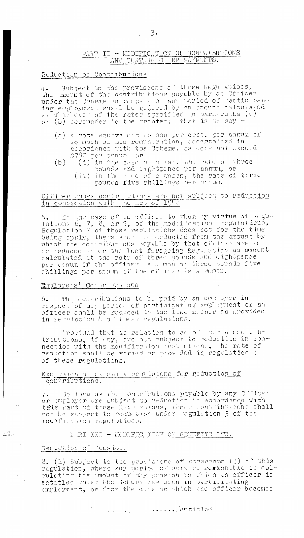#### **PART II - MODIFICATION OF CONTRIBUTIONS** AND CERTAIN OTHER PAYMENTS.

#### Reduction of Contributions

/4. Subject to the provisions of these Regulations, the mount of the contributions payable by an Officer under the Scheme in respect of any period of participating employment shell be reduced by an amount calculated at whichever of the rates specified in paragraphs (a) or (b) hereunder is the greater; that is to say —

- (a) a rate equivalent to one per cent. per annum of so much of his remuneration, ascertained in accordance with the Scheme, as does not exceed 7,780 oer annum, or
- (b) (i) in the case of a man, the rate of three oounds and eightpence per annum, or (ii) in the case of a woman, the rate of three pounds five shillins per annum.

#### Officer whose contributions are not subject to reduction in connection with the fict of 1948

5. In the case of an officer to whom by virtue of Regulations 6, 7, 8, or 9, of the modification regulations, Regulation 2 of those regulations does not for the time being apply, there shall be deducted from the amount by which the contributions payable by that officer are to be reduced under the last foregoing Regulation en amount calculated et the rate of three oounds and eihtbence per annum if the officer is a man or three pounds five shillings per annum if the officer is a woman.

#### Employers' Contributions

6. The contributions to be paid by an employer in respect of any period of participating employment of an officer shall be reduced in the like manner as provided in regulation 4 of these regulations.

Provided that in relation to an officer whose contributions, if any, are not subject to reduction in connection with the modification regulations, the rate of reduction shall be varied as provided in regulation 5 of these regulations.

#### Exclusion of existing provisions for reduction of contributions.

7. So long as the contributions payable by any Officer or employer are subject to reduction in accordance with or employer are subject to reduction in accordance with<br>these part of these Regulations, those contributions shall<br>not be subject to reduction under Regulation 3 of the modification regulations.

#### PIRT IIN - MODIFIC TION OF BENEFITS ETC.

#### Reduction of Pensions

 $\frac{1}{2\sqrt{2}}\sum_{i=1}^{N}$ 

 $\frac{1}{2} \frac{1}{2} \frac{1}{2}$ 

8. (1) Subject to the provisions of paragraph (3) of this regulation, where any period of service reskonable in calculating the amount of any pension to which an officer is entitled under the Scheme has been in participating employment, as from the date on which the officer becomes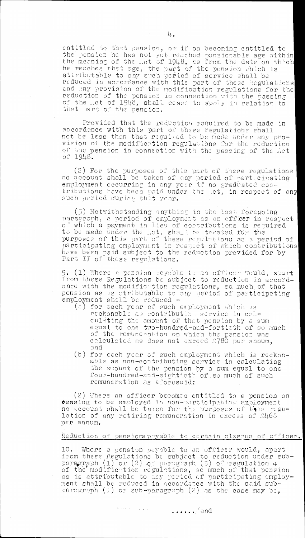entitled to that pension, or if on becoming entitled to the pension he has not yet reached pensionable age within the Meaning of the \_ct of 1948, as from the date on which he reaches that age, the part of the pension which is attributable to any such period of service shall be reduced in accordance with this part of these kegulations and any provision of the modification regulations for the reduction of the pension in connection with the passing of the ..ct of 1948, shall cease to apply in relation to that part of the pension.

Provided that the reduction required. to be made in accordance with this part of these regulations shall not be less then that required to be made under any provision of the modification regulations for the reduction of the pension in connection with the passing of the Act of 1948.

(2) For the purposes of this part of these regulations no account shall be taken of any period, of participating employment occurring in any year if no graduated contributions have been paid under the .ct, in respect of any such period during that year.

(3) Notwithstanding anything in the last foregoing paragraph, a period of employment as an off ${\tt rer}$  in respect  $\vdash$ of which a payment in lieu of contributions is required to be made under the let, shall be treated for the purposes of this part of these regulations as a period of participating employment in respect of which contributions have been paid subject to the reduction provided for by Part 11 of these regulations.

9. (1) 'here a pension payable to en officer would, apart from these Regulations be subject to reduction in accordance with the modification regulations, so much of that pension as is atributable to any period of participating employment shall be reduced -

- (a) for each year of such employment which is reckonable as contributing service in calculating the amount of that pension by a sum equal to one two-hundred-and-fortieth of so much of the remuneration on which the pension Was calculated as does not excccd  ${\scriptstyle{\triangle}780}$  per annum, and
- (b) for each year of such employment which is reckonable as non-contributing service in calculating the amount of the pension by a sum equal to one four-hundred-shd-eightieth of.so much of such remuneration as aforesaid;

(2) Where an officer becomes entitled to a pension on  $\bullet$ easing to be employed in non-participating employment no account shall be taken for the purposes of this regulation of any retiring remuneration in excess of  $\mathcal{B}\mathcal{H}66$ per annum.

#### Reduction of pensions payable to certain classes of officer.

10. Where a pension payable to an officer would, apart from these legulations be subject to reduction under subparacraph (1) or (2) of paracraph (3) of reculation  $4$ of the modification regulations, so much of that pension<br>as is attributable to any period of participating employment shall be reduced in accordance with the said sub- $\,$ paragraph (1) or sub-paragraph (2) as the case may be,

 $\bullet$  , we see that  $\mathcal{L}_{\mathcal{A}}$  ,  $\mathcal{L}_{\mathcal{A}}$  ,  $\mathcal{L}_{\mathcal{A}}$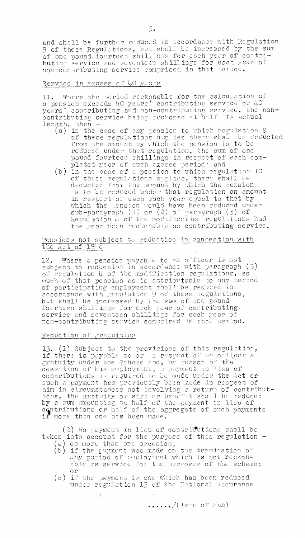and shall be further reduced in accordance with Regulation 9 of these Regulations, but shall be increased by the sum of one pound fourteen shillings for each year of contributing service and seventeen shillings for each year of non—contributing service comprised in that period.

#### Service in excess of 40 years

11. Where the period reckonable for the calculation of a pension exceeds 40 years' contributing service or 40 years' contributing and non-contributing service, the noncontributing service being reckoned at half its actual length, then —

- (a) in the case of any pension to which regulation 9 of these regulations applies there shall be deducted from the amount by which the pension is to be reduced under that regulation, the sum of one pound fourteen shillings in respect of each completed year of such excess period<sup>.</sup> and
- (b) in the case of a pension to which regulation 10 of these regulations applies, there shall be deducted from the amount by which the pension is to be reduced under that regulation an amount in respect of each such year equal to that by which the pension would have been reduced under  $\texttt{sub-pargraph}$   $(1)$  or  $(2)$  of paragraph  $(5)$  of Regulation  $4$  of the modification regulations had the year been reckonable as contributing service.

#### Pensions not subject to reduction in connection with the Act of 1948

12. Where a pension paynble to an officer is not subject to reduction in accordance with paragraph (3) of regulation 4 of the modification regulations, so much of that Pension as is attributable to any. period of participating employment shall be reduced in accordance with Regulation 9 of these Regulations, but shall be increased by the sum of one pound fourteen shillings for cach year of contributing. .service and seventeen shillings for each year of non—contributing senvice comprised in that period.

#### Reduction of gratuities

15. (1) Subject to the provisions of this regulation, if there is payable to or in respect of an officer a gratuity under the Scheme and, by reason of the cessation of his employment, a payment lieu of contributions is required to be made under the Act or such n payment has previously been made in respect of him in circumstances not involving a return of contributions, the gratuity or similar benefit shall be reduced . by a cum omounting to half of the payment in lieu of contributions or half of the aggregate of such payments if more then one has been made.

 $(2)$  No payment in lieu of contributions shall be taken into account for the purpose of this regulation - $(a)$  on more than one occasion;

- b) if the payment was made on the termination of any period of employment which is not reckon- able as service for the purposes of the scheme; or
- (c) if the payment is one which hasjpeen reduced under regulation 15 of the National Insurance

 $\ldots$ .../(Isle of Han)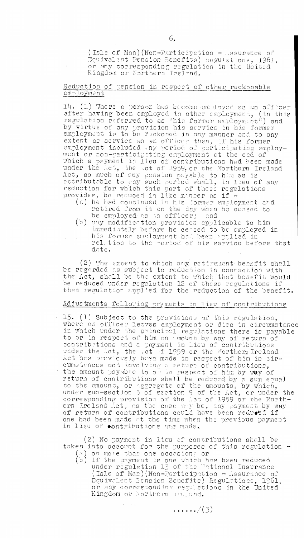(Isle of Man)(Non-Participation - issurance of Equivalent Pension Benefits) Regulations, 1961, or any corresponding regulation in the United Kingdom or Northern Ireland. -

#### Reduction of pension in respect of other reckonable employment

14. (1) Where a person has become employed as an officer after having been employed in other employment, (in this regulation referred to as "his former employment") and by virtue of any provision his service in his former employment is to be reckoned in any manner and to any extent as service as an officer then, if his former employment included any period of participating employment or non-participating employment at the end of which a payment in lieu of contributions had been made under the Act, the Act of 1959, or the Northern Ireland Act, so much of any pension payable to him as is attributable to any pension payasic to him as is reduction for which this part of these regulations provides, be reduced in like manner as if -

- (a) he had continued in his former employment and. LIctired from it on the day when he ceased to be employed as an officer; and
- (b) any modification provision applicable to him immediately before he ceased to be employed in his former employment had been applied in relation to the period of his service before that date.

(2) The extent to which any retirement benefit shell be regarded as subject to reduction in connection with the Act, shall be the extent to which that benefit would be reduced under regulation 12 of these regulations if that regulation applied for the reduction of the benefit.

### Adjustments following payments in lieu of contributions

• 15. (1) Subject to the provisions of this regulation, where an officer leaves employment or dies in circumstance in which under the principal regulations there is payable to or in respect of him en amount by way of return of contribitions and a payment in lieu of contributions under the Act, the ct ef 1959 or the Northem Ireland Act has previously been made in respect of him in circumstances not involving a return of contributions, the amount payable to or in respect of him by way of return of contributions shall be reduced by a sum equal to the amount, or aggregate of the amounts, by which, under sub-section 5 of section 9 of the Act, or under the corresponding provision of the .ct of 1959 or the Northern Ireland Act, as the case may be, any payment by way of return of contributions could have been reducted if one had been made at the time when the previous payment in lieu of contributions was made.

(2) No payment in lieu of contributions shall be taken into account for the purposes of this regulation -) on more than one occasion; or

(b) if the payment is one which has been reduced under regulation 15 of the Thionnl Insurance (Isle of Man) (Non-Participation - Assurance of Equivalent Sension Benefits) Regulations, 1961, or any corresponding regulations in the United Kingdom or Northern Reland.

 $\ldots$ ,  $(3)$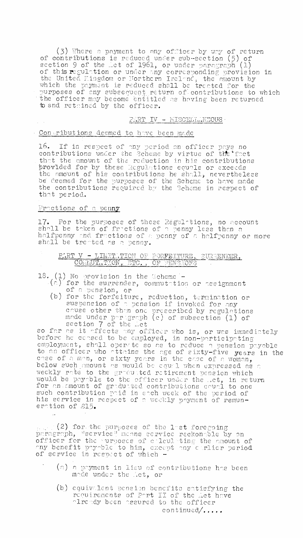$(3)$  Where a payment to any officer by way of return of contributions is reduced under sub-section  $(5)$  of ection 9 of the Let of 1961, or under paragraph (1)<br>of this regulation or under any corresponding provision in<br>the United Hingdom or Northern Ireland, the emount by<br>which the payment is reduced shall be treated for the purposes of any subsequent return of contributions to which to and retained by the officer.

#### PART IV - MISCELLANEOUS

#### Contributions deemed to have been made

16. If in respect of any period an officer pays no contributions under the Scheme by virtue of the fact that the amount of the reduction in his contributions provided for by these acgulations equals or exceeds the amount of his contributions he shall, nevertheless<br>be deemed for the purposes of the Scheme to have made the contributions required by the Scheme in respect of that period.

#### Fractions of a penny

17. For the purposes of these Regulations, no account shall be taken of fractions of a penny less than a halfpenny and fractions of a penny of a halfpenny or more shall be treated as a penny.

PART V - LIMITATION OF FORFEITURE, SUREENDER, COMMUTITEON, ETC., OF PENSIONS

18.

- (1) No provision in the Scheme -<br>(a) for the surrender, commutation or assignment of a pension, or
- (b) for the forfeiture, reduction, termination or suspension of a pension if invoked for any cause other than one prescribed by regulations made under paragraph (c) of subsection (1) of section 7 of the Let

so far as it affects any officer who is, or was immediately before he censed to be employed, in non-participating<br>employment, shall oper te so as to reduce a pension payable<br>to an officer who attains the age of sixty-five years in the<br>case of a man, or sixty years in the case of a weekly rate to the graduated retirement pension which would be payable to the officer under the ..et, in return for an amount of graduated contributions equal to one such contribution paid in each week of the period of his service in respect of a weekly payment of remuneration of 215.

(2) for the purposes of the last foregoing<br>paragraph, "service" manns service reckonsble by an<br>officer for the purposes of collecting the amount of<br>any benefit payable to him, except any curlier period<br>of service in respec

- (a) a payment in lieu of contributions has been made under the Act, or
- (b) equivalent pension benefits satisfying the requirements of Port II of the Act have<br>premients of Port II of the Act have continued/.....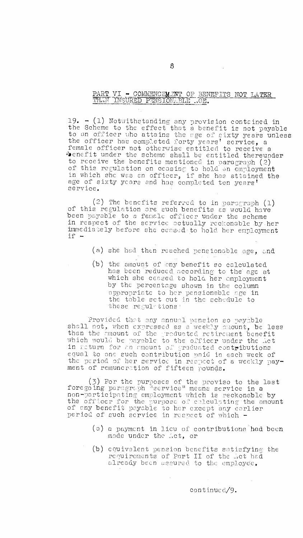# PART VI - COMMENCEMENT OF BENEFITS NOT LATER THAN INSURED PENSIONABLE .. GE.

19.  $-$  (1) Notwithstanding any provision contained in the Scheme to the effect that a benefit is not payable to an officer who attains the age of aixty years unless the officer has completed forty years' scrvice, a female officer not otherwise entitled to receive a Temate officer not observise entitled to receive a<br>
"Denefit under the scheme shall be entitled thereunder<br>
to receive the benefits mentioned in paragraph (2)<br>
of this regulation on ceasing to hold an employment<br>
in which service.

(2) The benefits referred to in paragraph (1) of this regulation are such benefits as would have been payable to a female officer under the scheme in respect of the service actually reckonable by her immediately before she ceased to hold her employment if.

(a) she had then reached pensionable age, and

(b) the amount of any benefit so calculated has been reduced according to the age at which she ceased to hold her employment by the percentage shown in the column appropriate to her pensionable age in the table set out in the schedule to these regulations:

Provided that any annual pension so payable shall not, when expressed as a weekly amount, be less than the emount of the preducted retirement benefit which would be payable to the officer under the Act in return for an amount of graduated contributions equal to one such contribution paid in each week of the period of her service in respect of a weekly payment of remuneration of fifteen pounds.

(3) For the purposes of the proviso to the last<br>foregoing paragraph "service" means service in a non-participating employment which is reckonable by the officer for the purpose of calculating the amount of any benefit payable to her except any earlier<br>period of such service in respect of which -

- (a) a payment in lieu of contributions had been made under the Act, or
- (b) equivalent pension benefits satisfying the requirements of Part II of the Act had already been assured to the employee.

continued/9.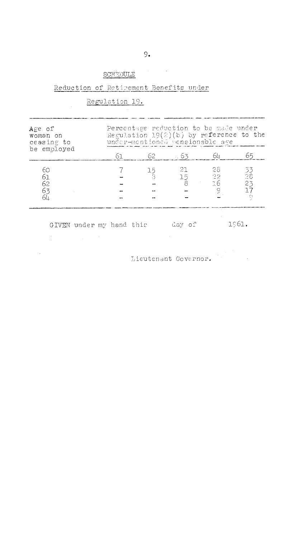# $SCH$ EDULE $\qquad$

### Reduction of Retimement Benefits under

## Regulation 19.

| Age of<br>woman on<br>ceasing to<br>be employed | Percentage reduction to be made under<br>Regulation $19(2)(b)$ by reference to the<br>under-mentioned pensionable age |            |         |                                         |                                 |
|-------------------------------------------------|-----------------------------------------------------------------------------------------------------------------------|------------|---------|-----------------------------------------|---------------------------------|
|                                                 | 61 -                                                                                                                  | 62         | $-63$   |                                         | 65                              |
| 6С<br>61<br>62<br>63<br>64                      |                                                                                                                       | 15<br>- 3. | 21<br>8 | -28.<br>$15$ 22<br>76<br>$\ddot{\circ}$ | -53<br>28<br>23<br>$\mathbb{C}$ |

GIVEN under my hand this day of 1961.  $\mathcal{L}_{\rm eff}$  $\frac{1}{2} \frac{1}{2} \frac{1}{2} \frac{1}{2}$ 

Lieutenant Governor.  $\langle \hat{u}_k \rangle$  .